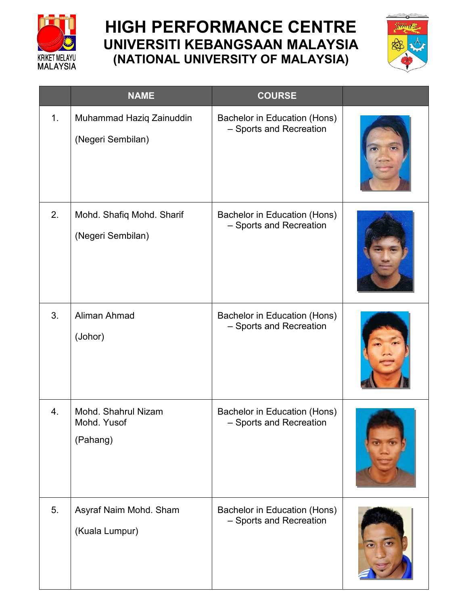

## **HIGH PERFORMANCE CENTRE UNIVERSITI KEBANGSAAN MALAYSIA (NATIONAL UNIVERSITY OF MALAYSIA)**



|    | <b>NAME</b>                                    | <b>COURSE</b>                                           |  |
|----|------------------------------------------------|---------------------------------------------------------|--|
| 1. | Muhammad Haziq Zainuddin<br>(Negeri Sembilan)  | Bachelor in Education (Hons)<br>- Sports and Recreation |  |
| 2. | Mohd. Shafiq Mohd. Sharif<br>(Negeri Sembilan) | Bachelor in Education (Hons)<br>- Sports and Recreation |  |
| 3. | Aliman Ahmad<br>(Johor)                        | Bachelor in Education (Hons)<br>- Sports and Recreation |  |
| 4. | Mohd. Shahrul Nizam<br>Mohd. Yusof<br>(Pahang) | Bachelor in Education (Hons)<br>- Sports and Recreation |  |
| 5. | Asyraf Naim Mohd. Sham<br>(Kuala Lumpur)       | Bachelor in Education (Hons)<br>- Sports and Recreation |  |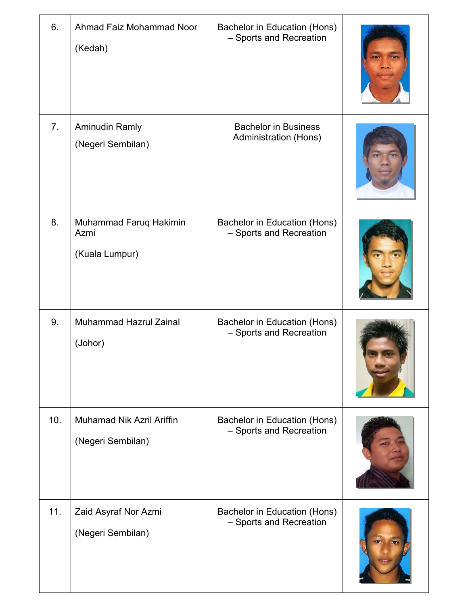| 6.             | Ahmad Faiz Mohammad Noor<br>(Kedah)              | Bachelor in Education (Hons)<br>- Sports and Recreation     |  |
|----------------|--------------------------------------------------|-------------------------------------------------------------|--|
| 7 <sub>1</sub> | <b>Aminudin Ramly</b><br>(Negeri Sembilan)       | <b>Bachelor in Business</b><br><b>Administration (Hons)</b> |  |
| 8.             | Muhammad Faruq Hakimin<br>Azmi<br>(Kuala Lumpur) | Bachelor in Education (Hons)<br>- Sports and Recreation     |  |
| 9.             | <b>Muhammad Hazrul Zainal</b><br>(Johor)         | Bachelor in Education (Hons)<br>- Sports and Recreation     |  |
| 10.            | Muhamad Nik Azril Ariffin<br>(Negeri Sembilan)   | Bachelor in Education (Hons)<br>- Sports and Recreation     |  |
| 11.            | Zaid Asyraf Nor Azmi<br>(Negeri Sembilan)        | Bachelor in Education (Hons)<br>- Sports and Recreation     |  |